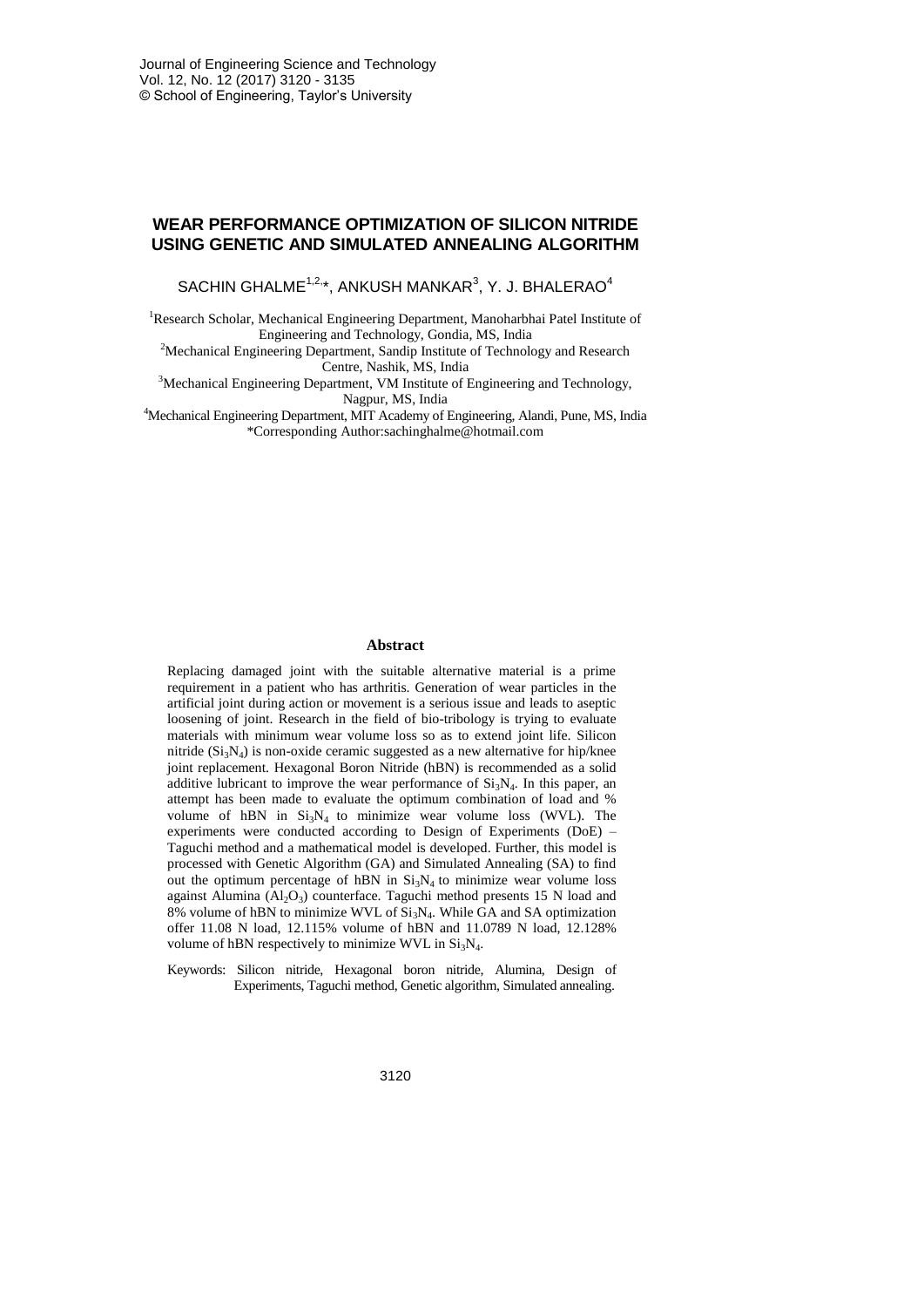# **WEAR PERFORMANCE OPTIMIZATION OF SILICON NITRIDE USING GENETIC AND SIMULATED ANNEALING ALGORITHM**

SACHIN GHALME $1,2,*}$ , ANKUSH MANKAR $3,$  Y. J. BHALERAO $4$ 

<sup>1</sup>Research Scholar, Mechanical Engineering Department, Manoharbhai Patel Institute of Engineering and Technology, Gondia, MS, India

<sup>2</sup>Mechanical Engineering Department, Sandip Institute of Technology and Research Centre, Nashik, MS, India

<sup>3</sup>Mechanical Engineering Department, VM Institute of Engineering and Technology, Nagpur, MS, India

<sup>4</sup>Mechanical Engineering Department, MIT Academy of Engineering, Alandi, Pune, MS, India \*Corresponding Author:sachinghalme@hotmail.com

#### **Abstract**

Replacing damaged joint with the suitable alternative material is a prime requirement in a patient who has arthritis. Generation of wear particles in the artificial joint during action or movement is a serious issue and leads to aseptic loosening of joint. Research in the field of bio-tribology is trying to evaluate materials with minimum wear volume loss so as to extend joint life. Silicon nitride  $(Si<sub>3</sub>N<sub>4</sub>)$  is non-oxide ceramic suggested as a new alternative for hip/knee joint replacement. Hexagonal Boron Nitride (hBN) is recommended as a solid additive lubricant to improve the wear performance of  $Si<sub>3</sub>N<sub>4</sub>$ . In this paper, an attempt has been made to evaluate the optimum combination of load and % volume of hBN in  $Si<sub>3</sub>N<sub>4</sub>$  to minimize wear volume loss (WVL). The experiments were conducted according to Design of Experiments (DoE) – Taguchi method and a mathematical model is developed. Further, this model is processed with Genetic Algorithm (GA) and Simulated Annealing (SA) to find out the optimum percentage of hBN in  $Si<sub>3</sub>N<sub>4</sub>$  to minimize wear volume loss against Alumina  $(Al_2O_3)$  counterface. Taguchi method presents 15 N load and  $8\%$  volume of hBN to minimize WVL of  $Si<sub>3</sub>N<sub>4</sub>$ . While GA and SA optimization offer 11.08 N load, 12.115% volume of hBN and 11.0789 N load, 12.128% volume of hBN respectively to minimize WVL in  $Si<sub>3</sub>N<sub>4</sub>$ .

Keywords: Silicon nitride, Hexagonal boron nitride, Alumina, Design of Experiments, Taguchi method, Genetic algorithm, Simulated annealing.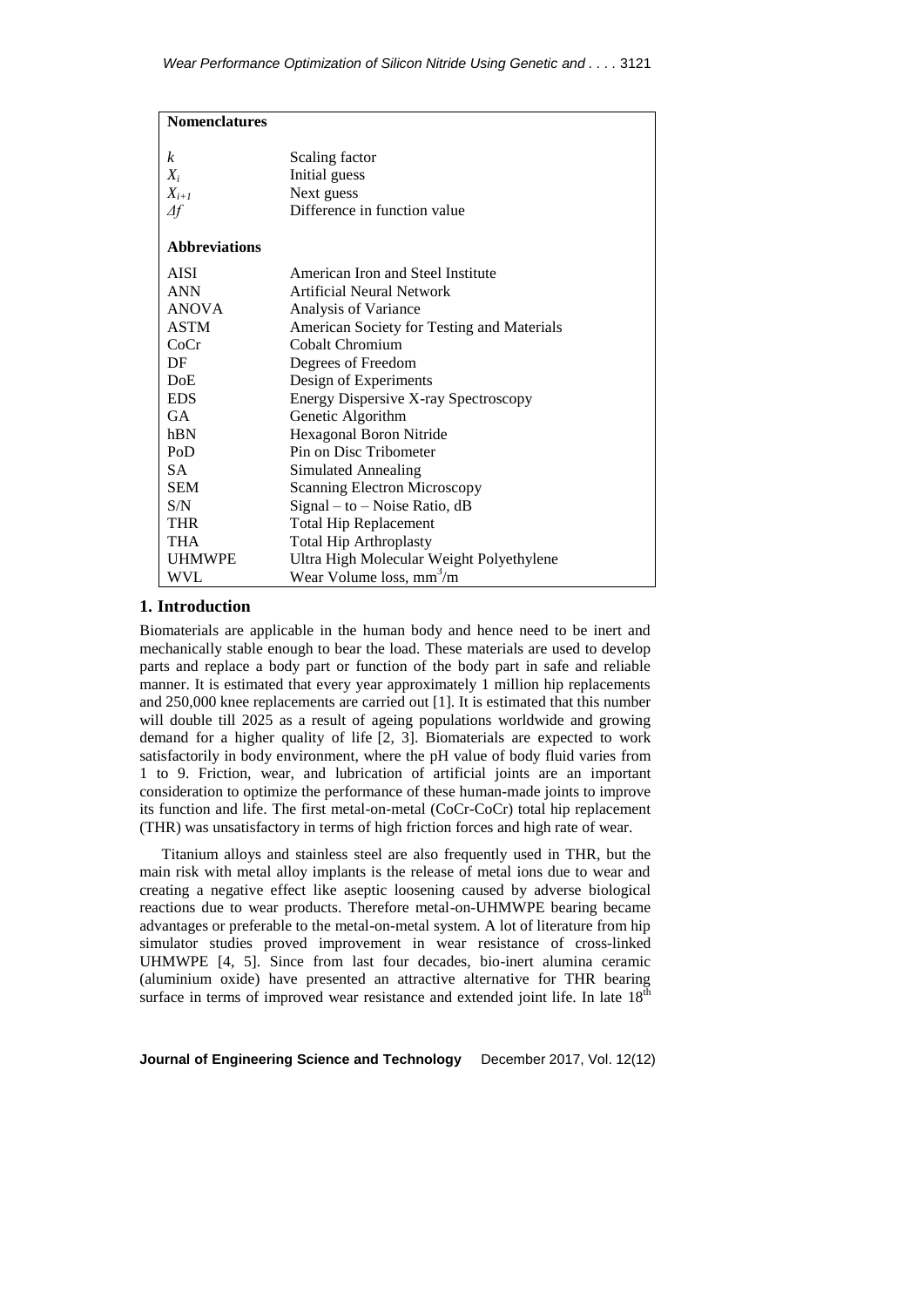| <b>Nomenclatures</b> |                                            |
|----------------------|--------------------------------------------|
|                      |                                            |
| k                    | Scaling factor                             |
| $X_i$                | Initial guess                              |
| $X_{i+1}$            | Next guess                                 |
| $\Delta f$           | Difference in function value               |
|                      |                                            |
| <b>Abbreviations</b> |                                            |
| <b>AISI</b>          | American Iron and Steel Institute          |
| <b>ANN</b>           | Artificial Neural Network                  |
| <b>ANOVA</b>         | Analysis of Variance                       |
| <b>ASTM</b>          | American Society for Testing and Materials |
| CoCr                 | Cobalt Chromium                            |
| DF                   | Degrees of Freedom                         |
| DoE                  | Design of Experiments                      |
| <b>EDS</b>           | Energy Dispersive X-ray Spectroscopy       |
| <b>GA</b>            | Genetic Algorithm                          |
| hBN                  | Hexagonal Boron Nitride                    |
| PoD                  | Pin on Disc Tribometer                     |
| <b>SA</b>            | Simulated Annealing                        |
| <b>SEM</b>           | <b>Scanning Electron Microscopy</b>        |
| S/N                  | $Signal - to - Noise Ratio, dB$            |
| <b>THR</b>           | <b>Total Hip Replacement</b>               |
| <b>THA</b>           | <b>Total Hip Arthroplasty</b>              |
| <b>UHMWPE</b>        | Ultra High Molecular Weight Polyethylene   |
| <b>WVL</b>           | Wear Volume loss, mm <sup>3</sup> /m       |

## **1. Introduction**

Biomaterials are applicable in the human body and hence need to be inert and mechanically stable enough to bear the load. These materials are used to develop parts and replace a body part or function of the body part in safe and reliable manner. It is estimated that every year approximately 1 million hip replacements and 250,000 knee replacements are carried out [1]. It is estimated that this number will double till 2025 as a result of ageing populations worldwide and growing demand for a higher quality of life [2, 3]. Biomaterials are expected to work satisfactorily in body environment, where the pH value of body fluid varies from 1 to 9. Friction, wear, and lubrication of artificial joints are an important consideration to optimize the performance of these human-made joints to improve its function and life. The first metal-on-metal (CoCr-CoCr) total hip replacement (THR) was unsatisfactory in terms of high friction forces and high rate of wear.

Titanium alloys and stainless steel are also frequently used in THR, but the main risk with metal alloy implants is the release of metal ions due to wear and creating a negative effect like aseptic loosening caused by adverse biological reactions due to wear products. Therefore metal-on-UHMWPE bearing became advantages or preferable to the metal-on-metal system. A lot of literature from hip simulator studies proved improvement in wear resistance of cross-linked UHMWPE [4, 5]. Since from last four decades, bio-inert alumina ceramic (aluminium oxide) have presented an attractive alternative for THR bearing surface in terms of improved wear resistance and extended joint life. In late  $18<sup>th</sup>$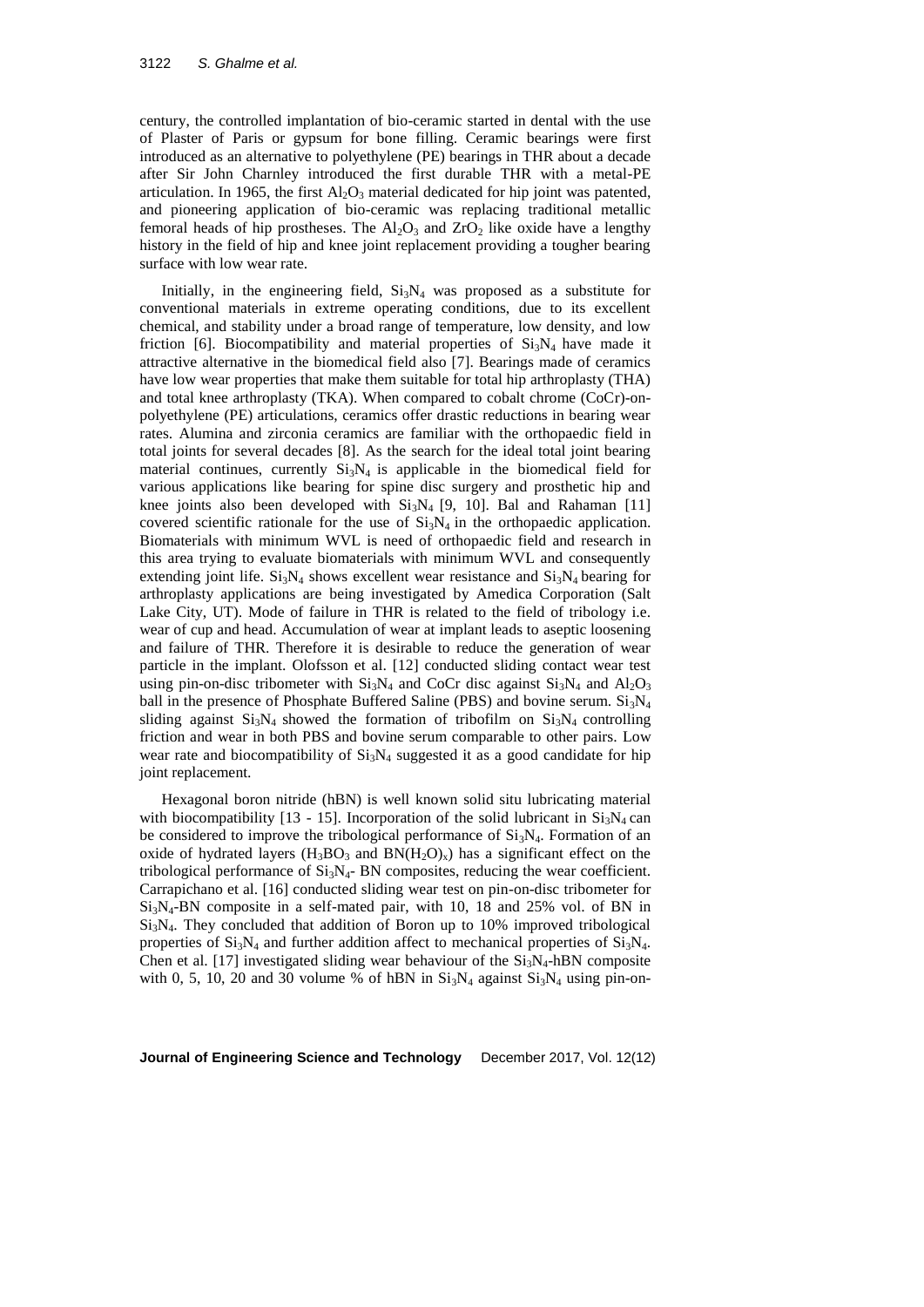century, the controlled implantation of bio-ceramic started in dental with the use of Plaster of Paris or gypsum for bone filling. Ceramic bearings were first introduced as an alternative to polyethylene (PE) bearings in THR about a decade after Sir John Charnley introduced the first durable THR with a metal-PE articulation. In 1965, the first  $Al_2O_3$  material dedicated for hip joint was patented, and pioneering application of bio-ceramic was replacing traditional metallic femoral heads of hip prostheses. The  $Al_2O_3$  and  $ZrO_2$  like oxide have a lengthy history in the field of hip and knee joint replacement providing a tougher bearing surface with low wear rate.

Initially, in the engineering field,  $Si<sub>3</sub>N<sub>4</sub>$  was proposed as a substitute for conventional materials in extreme operating conditions, due to its excellent chemical, and stability under a broad range of temperature, low density, and low friction [6]. Biocompatibility and material properties of  $Si<sub>3</sub>N<sub>4</sub>$  have made it attractive alternative in the biomedical field also [7]. Bearings made of ceramics have low wear properties that make them suitable for total hip arthroplasty (THA) and total knee arthroplasty (TKA). When compared to cobalt chrome (CoCr)-onpolyethylene (PE) articulations, ceramics offer drastic reductions in bearing wear rates. Alumina and zirconia ceramics are familiar with the orthopaedic field in total joints for several decades [8]. As the search for the ideal total joint bearing material continues, currently  $Si<sub>3</sub>N<sub>4</sub>$  is applicable in the biomedical field for various applications like bearing for spine disc surgery and prosthetic hip and knee joints also been developed with  $Si_3N_4$  [9, 10]. Bal and Rahaman [11] covered scientific rationale for the use of  $Si<sub>3</sub>N<sub>4</sub>$  in the orthopaedic application. Biomaterials with minimum WVL is need of orthopaedic field and research in this area trying to evaluate biomaterials with minimum WVL and consequently extending joint life.  $Si<sub>3</sub>N<sub>4</sub>$  shows excellent wear resistance and  $Si<sub>3</sub>N<sub>4</sub>$  bearing for arthroplasty applications are being investigated by Amedica Corporation (Salt Lake City, UT). Mode of failure in THR is related to the field of tribology i.e. wear of cup and head. Accumulation of wear at implant leads to aseptic loosening and failure of THR. Therefore it is desirable to reduce the generation of wear particle in the implant. Olofsson et al. [12] conducted sliding contact wear test using pin-on-disc tribometer with  $Si<sub>3</sub>N<sub>4</sub>$  and CoCr disc against  $Si<sub>3</sub>N<sub>4</sub>$  and  $Al<sub>2</sub>O<sub>3</sub>$ ball in the presence of Phosphate Buffered Saline (PBS) and bovine serum.  $Si<sub>3</sub>N<sub>4</sub>$ sliding against  $Si<sub>3</sub>N<sub>4</sub>$  showed the formation of tribofilm on  $Si<sub>3</sub>N<sub>4</sub>$  controlling friction and wear in both PBS and bovine serum comparable to other pairs. Low wear rate and biocompatibility of  $Si<sub>3</sub>N<sub>4</sub>$  suggested it as a good candidate for hip joint replacement.

Hexagonal boron nitride (hBN) is well known solid situ lubricating material with biocompatibility [13 - 15]. Incorporation of the solid lubricant in  $Si<sub>3</sub>N<sub>4</sub>$  can be considered to improve the tribological performance of  $Si<sub>3</sub>N<sub>4</sub>$ . Formation of an oxide of hydrated layers  $(H_3BO_3 \text{ and } BN(H_2O)_x)$  has a significant effect on the tribological performance of  $Si<sub>3</sub>N<sub>4</sub>$ - BN composites, reducing the wear coefficient. Carrapichano et al. [16] conducted sliding wear test on pin-on-disc tribometer for Si3N4-BN composite in a self-mated pair, with 10, 18 and 25% vol. of BN in Si3N4. They concluded that addition of Boron up to 10% improved tribological properties of  $Si_3N_4$  and further addition affect to mechanical properties of  $Si_3N_4$ . Chen et al. [17] investigated sliding wear behaviour of the  $Si<sub>3</sub>N<sub>4</sub>$ -hBN composite with 0, 5, 10, 20 and 30 volume % of hBN in  $Si<sub>3</sub>N<sub>4</sub>$  against  $Si<sub>3</sub>N<sub>4</sub>$  using pin-on-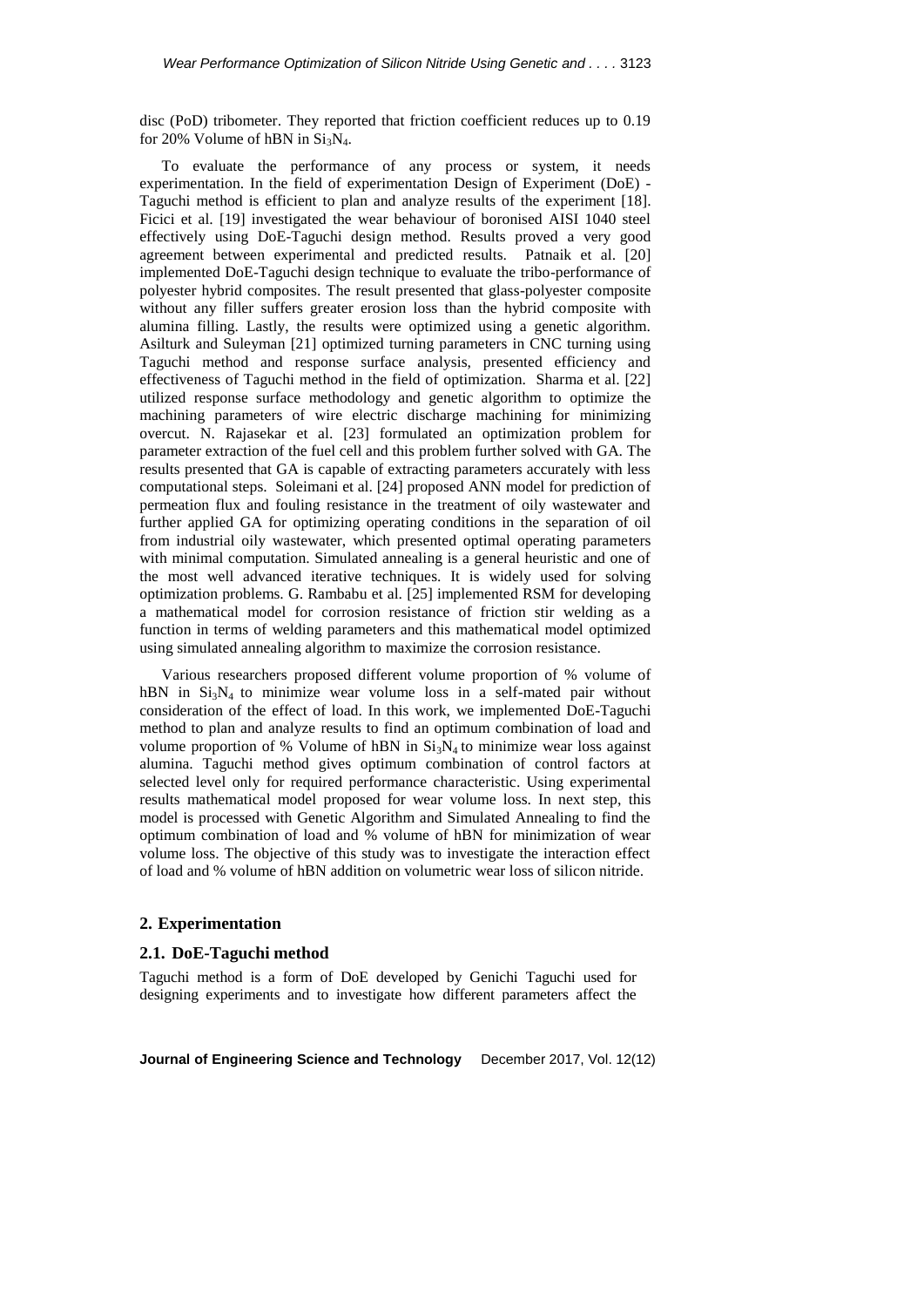disc (PoD) tribometer. They reported that friction coefficient reduces up to 0.19 for 20% Volume of hBN in  $Si<sub>3</sub>N<sub>4</sub>$ .

To evaluate the performance of any process or system, it needs experimentation. In the field of experimentation Design of Experiment (DoE) - Taguchi method is efficient to plan and analyze results of the experiment [18]. Ficici et al. [19] investigated the wear behaviour of boronised AISI 1040 steel effectively using DoE-Taguchi design method. Results proved a very good agreement between experimental and predicted results. Patnaik et al. [20] implemented DoE-Taguchi design technique to evaluate the tribo-performance of polyester hybrid composites. The result presented that glass-polyester composite without any filler suffers greater erosion loss than the hybrid composite with alumina filling. Lastly, the results were optimized using a genetic algorithm. Asilturk and Suleyman [21] optimized turning parameters in CNC turning using Taguchi method and response surface analysis, presented efficiency and effectiveness of Taguchi method in the field of optimization. Sharma et al. [22] utilized response surface methodology and genetic algorithm to optimize the machining parameters of wire electric discharge machining for minimizing overcut. N. Rajasekar et al. [23] formulated an optimization problem for parameter extraction of the fuel cell and this problem further solved with GA. The results presented that GA is capable of extracting parameters accurately with less computational steps. Soleimani et al. [24] proposed ANN model for prediction of permeation flux and fouling resistance in the treatment of oily wastewater and further applied GA for optimizing operating conditions in the separation of oil from industrial oily wastewater, which presented optimal operating parameters with minimal computation. Simulated annealing is a general heuristic and one of the most well advanced iterative techniques. It is widely used for solving optimization problems. G. Rambabu et al. [25] implemented RSM for developing a mathematical model for corrosion resistance of friction stir welding as a function in terms of welding parameters and this mathematical model optimized using simulated annealing algorithm to maximize the corrosion resistance.

Various researchers proposed different volume proportion of % volume of hBN in  $Si_3N_4$  to minimize wear volume loss in a self-mated pair without consideration of the effect of load. In this work, we implemented DoE-Taguchi method to plan and analyze results to find an optimum combination of load and volume proportion of % Volume of hBN in  $Si<sub>3</sub>N<sub>4</sub>$  to minimize wear loss against alumina. Taguchi method gives optimum combination of control factors at selected level only for required performance characteristic. Using experimental results mathematical model proposed for wear volume loss. In next step, this model is processed with Genetic Algorithm and Simulated Annealing to find the optimum combination of load and % volume of hBN for minimization of wear volume loss. The objective of this study was to investigate the interaction effect of load and % volume of hBN addition on volumetric wear loss of silicon nitride.

## **2. Experimentation**

#### **2.1. DoE-Taguchi method**

Taguchi method is a form of DoE developed by Genichi Taguchi used for designing experiments and to investigate how different parameters affect the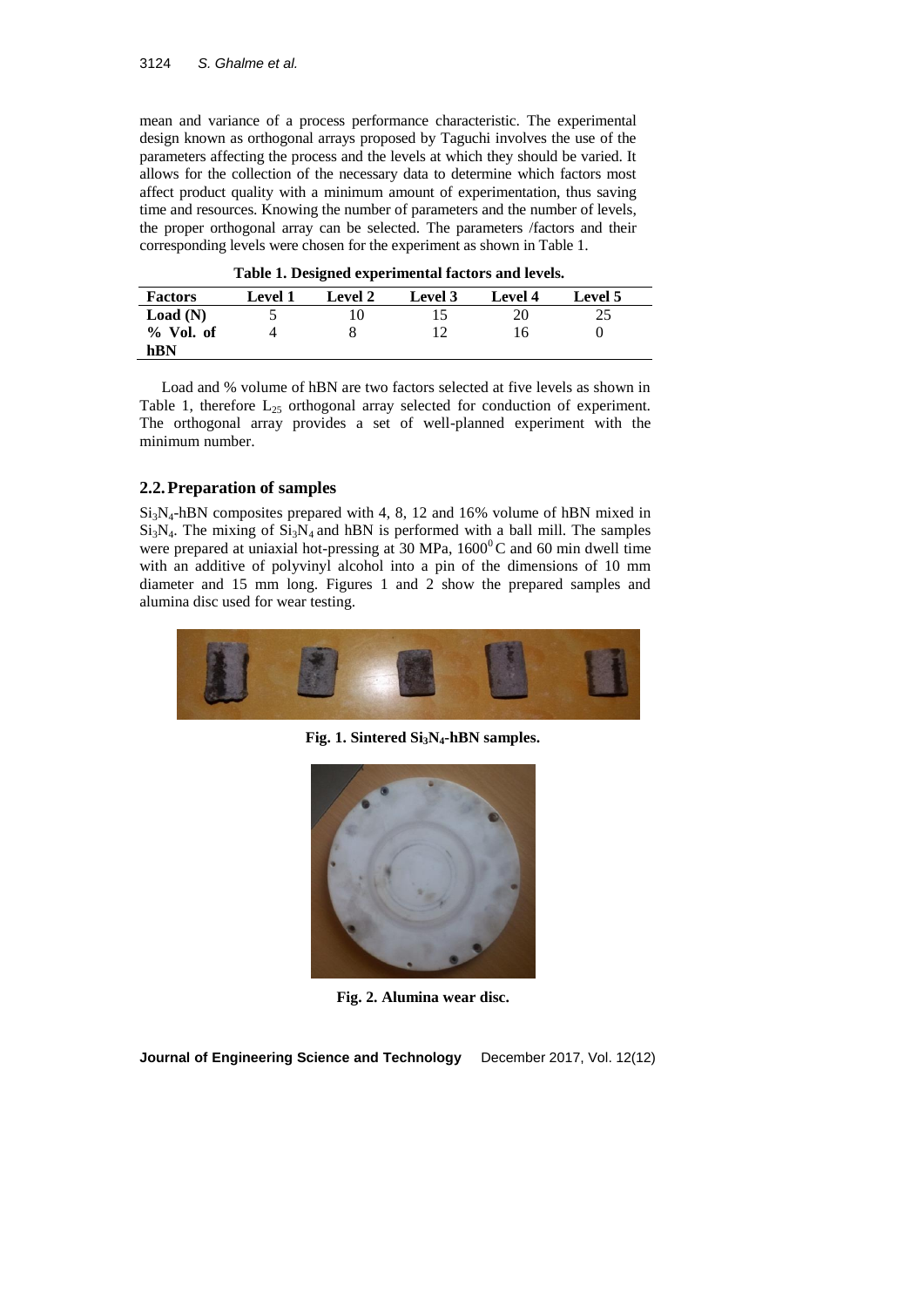mean and variance of a process performance characteristic. The experimental design known as orthogonal arrays proposed by Taguchi involves the use of the parameters affecting the process and the levels at which they should be varied. It allows for the collection of the necessary data to determine which factors most affect product quality with a minimum amount of experimentation, thus saving time and resources. Knowing the number of parameters and the number of levels, the proper orthogonal array can be selected. The parameters /factors and their corresponding levels were chosen for the experiment as shown in Table 1.

| Table 1. Designed experimental factors and levels. |         |                |         |         |         |
|----------------------------------------------------|---------|----------------|---------|---------|---------|
| <b>Factors</b>                                     | Level 1 | <b>Level 2</b> | Level 3 | Level 4 | Level 5 |
| Load(N)                                            |         |                | י       | 20      | 25      |
| $%$ Vol. of                                        |         |                |         | 16      |         |

|  |  | Table 1. Designed experimental factors and levels. |  |  |  |
|--|--|----------------------------------------------------|--|--|--|
|--|--|----------------------------------------------------|--|--|--|

Load and % volume of hBN are two factors selected at five levels as shown in Table 1, therefore  $L_{25}$  orthogonal array selected for conduction of experiment. The orthogonal array provides a set of well-planned experiment with the minimum number.

# **2.2.Preparation of samples**

**hBN**

 $Si<sub>3</sub>N<sub>4</sub>$ -hBN composites prepared with 4, 8, 12 and 16% volume of hBN mixed in  $Si<sub>3</sub>N<sub>4</sub>$ . The mixing of  $Si<sub>3</sub>N<sub>4</sub>$  and hBN is performed with a ball mill. The samples were prepared at uniaxial hot-pressing at 30 MPa,  $1600^{\circ}$ C and 60 min dwell time with an additive of polyvinyl alcohol into a pin of the dimensions of 10 mm diameter and 15 mm long. Figures 1 and 2 show the prepared samples and alumina disc used for wear testing.



**Fig. 1. Sintered Si3N4-hBN samples.**



**Fig. 2. Alumina wear disc.**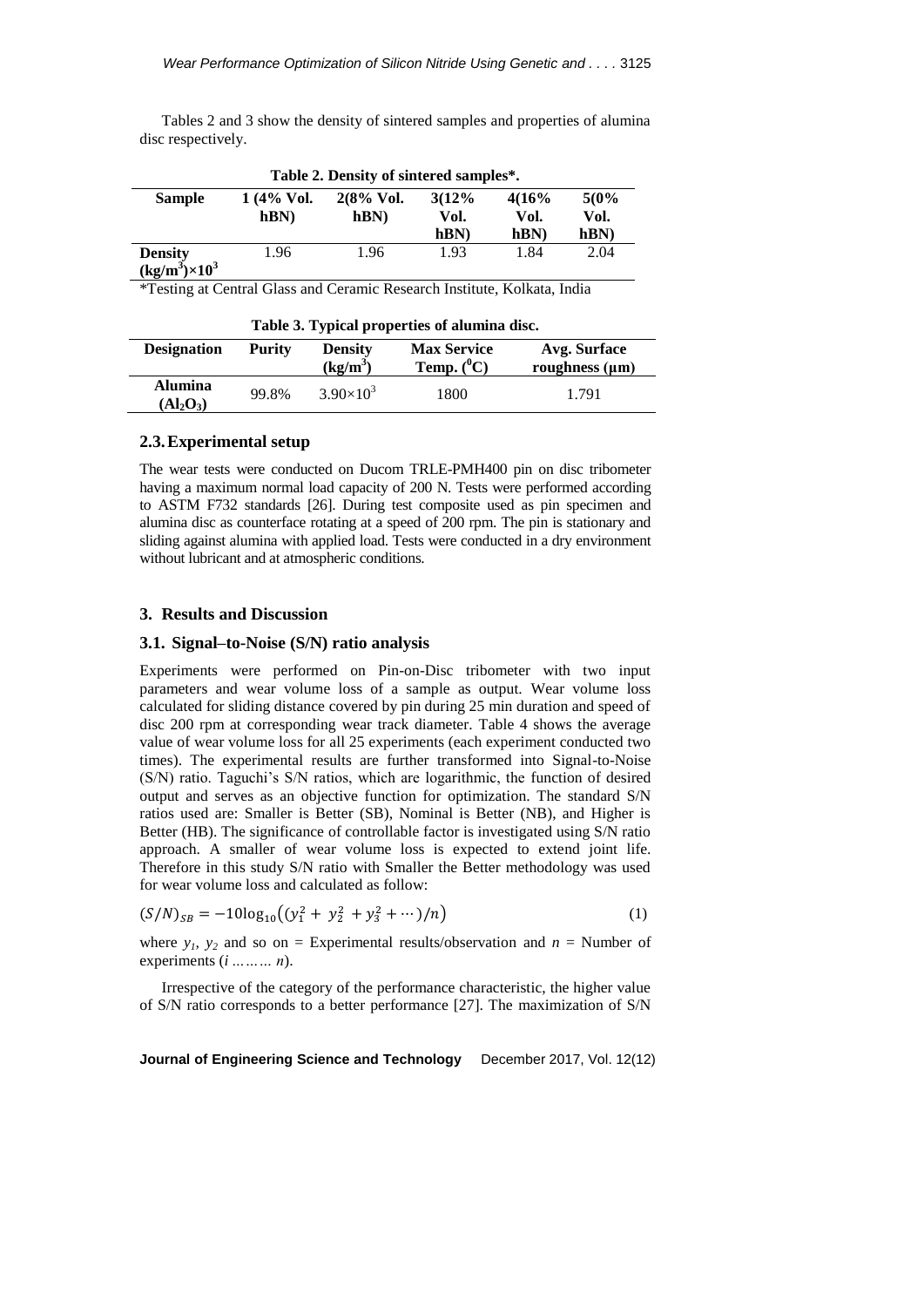Tables 2 and 3 show the density of sintered samples and properties of alumina disc respectively.

| Table 2. Density of sintered samples*. |             |                       |       |       |      |  |
|----------------------------------------|-------------|-----------------------|-------|-------|------|--|
| <b>Sample</b>                          | $1(4%$ Vol. | $2(8\% \text{ Vol.})$ | 3(12% | 4(16% | 5(0% |  |
|                                        | hBN         | hBN                   | Vol.  | Vol.  | Vol. |  |
|                                        |             |                       | hBN   | hBN   | hBN) |  |
| <b>Density</b>                         | 1.96        | 1.96                  | 1.93  | 1.84  | 2.04 |  |
| $(kg/m^3)\times 10^3$                  |             |                       |       |       |      |  |

\*Testing at Central Glass and Ceramic Research Institute, Kolkata, India

| Table 3. Typical properties of alumina disc. |        |                              |                                     |                                     |  |  |
|----------------------------------------------|--------|------------------------------|-------------------------------------|-------------------------------------|--|--|
| <b>Designation</b>                           | Purity | <b>Density</b><br>$(kg/m^3)$ | <b>Max Service</b><br>Temp. $(^0C)$ | Avg. Surface<br>roughness $(\mu m)$ |  |  |
| <b>Alumina</b><br>$(Al_2O_3)$                | 99.8%  | $3.90\times10^{3}$           | 1800                                | 1.791                               |  |  |

## **2.3.Experimental setup**

The wear tests were conducted on Ducom TRLE-PMH400 pin on disc tribometer having a maximum normal load capacity of 200 N. Tests were performed according to ASTM F732 standards [26]. During test composite used as pin specimen and alumina disc as counterface rotating at a speed of 200 rpm. The pin is stationary and sliding against alumina with applied load. Tests were conducted in a dry environment without lubricant and at atmospheric conditions.

#### **3. Results and Discussion**

#### **3.1. Signal–to-Noise (S/N) ratio analysis**

Experiments were performed on Pin-on-Disc tribometer with two input parameters and wear volume loss of a sample as output. Wear volume loss calculated for sliding distance covered by pin during 25 min duration and speed of disc 200 rpm at corresponding wear track diameter. Table 4 shows the average value of wear volume loss for all 25 experiments (each experiment conducted two times). The experimental results are further transformed into Signal-to-Noise (S/N) ratio. Taguchi's S/N ratios, which are logarithmic, the function of desired output and serves as an objective function for optimization. The standard S/N ratios used are: Smaller is Better (SB), Nominal is Better (NB), and Higher is Better (HB). The significance of controllable factor is investigated using S/N ratio approach. A smaller of wear volume loss is expected to extend joint life. Therefore in this study S/N ratio with Smaller the Better methodology was used for wear volume loss and calculated as follow:

$$
(S/N)_{SB} = -10\log_{10}\left((y_1^2 + y_2^2 + y_3^2 + \cdots)/n\right)
$$
 (1)

where  $y_1$ ,  $y_2$  and so on = Experimental results/observation and  $n =$  Number of experiments (*i ……… n*).

Irrespective of the category of the performance characteristic, the higher value of S/N ratio corresponds to a better performance [27]. The maximization of S/N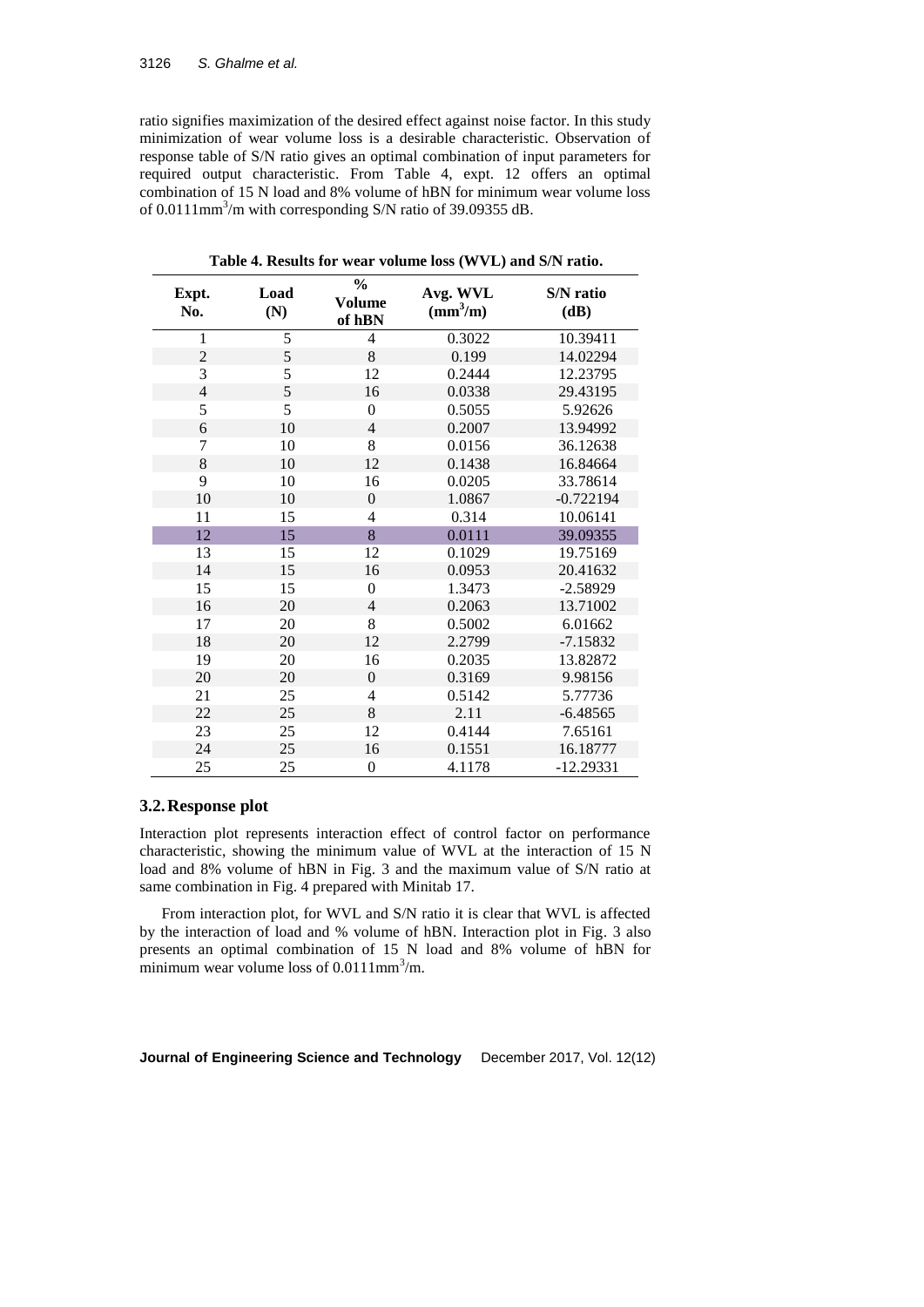ratio signifies maximization of the desired effect against noise factor. In this study minimization of wear volume loss is a desirable characteristic. Observation of response table of S/N ratio gives an optimal combination of input parameters for required output characteristic. From Table 4, expt. 12 offers an optimal combination of 15 N load and 8% volume of hBN for minimum wear volume loss of 0.0111 $\text{mm}^3/\text{m}$  with corresponding S/N ratio of 39.09355 dB.

| Expt.<br>No.   | Load<br>(N) | $\frac{0}{0}$<br><b>Volume</b><br>of hBN | Avg. WVL<br>$\text{(mm}^3\text{/m)}$ | <b>S/N</b> ratio<br>(dB) |
|----------------|-------------|------------------------------------------|--------------------------------------|--------------------------|
| $\mathbf{1}$   | 5           | 4                                        | 0.3022                               | 10.39411                 |
| $\overline{2}$ | 5           | 8                                        | 0.199                                | 14.02294                 |
| 3              | 5           | 12                                       | 0.2444                               | 12.23795                 |
| $\overline{4}$ | 5           | 16                                       | 0.0338                               | 29.43195                 |
| 5              | 5           | $\mathbf{0}$                             | 0.5055                               | 5.92626                  |
| 6              | 10          | 4                                        | 0.2007                               | 13.94992                 |
| 7              | 10          | 8                                        | 0.0156                               | 36.12638                 |
| 8              | 10          | 12                                       | 0.1438                               | 16.84664                 |
| 9              | 10          | 16                                       | 0.0205                               | 33.78614                 |
| 10             | 10          | $\overline{0}$                           | 1.0867                               | $-0.722194$              |
| 11             | 15          | 4                                        | 0.314                                | 10.06141                 |
| 12             | 15          | 8                                        | 0.0111                               | 39.09355                 |
| 13             | 15          | 12                                       | 0.1029                               | 19.75169                 |
| 14             | 15          | 16                                       | 0.0953                               | 20.41632                 |
| 15             | 15          | $\overline{0}$                           | 1.3473                               | $-2.58929$               |
| 16             | 20          | 4                                        | 0.2063                               | 13.71002                 |
| 17             | 20          | 8                                        | 0.5002                               | 6.01662                  |
| 18             | 20          | 12                                       | 2.2799                               | $-7.15832$               |
| 19             | 20          | 16                                       | 0.2035                               | 13.82872                 |
| 20             | 20          | $\mathbf{0}$                             | 0.3169                               | 9.98156                  |
| 21             | 25          | 4                                        | 0.5142                               | 5.77736                  |
| 22             | 25          | 8                                        | 2.11                                 | $-6.48565$               |
| 23             | 25          | 12                                       | 0.4144                               | 7.65161                  |
| 24             | 25          | 16                                       | 0.1551                               | 16.18777                 |
| 25             | 25          | $\overline{0}$                           | 4.1178                               | $-12.29331$              |

**Table 4. Results for wear volume loss (WVL) and S/N ratio.**

## **3.2.Response plot**

Interaction plot represents interaction effect of control factor on performance characteristic, showing the minimum value of WVL at the interaction of 15 N load and 8% volume of hBN in Fig. 3 and the maximum value of S/N ratio at same combination in Fig. 4 prepared with Minitab 17.

From interaction plot, for WVL and S/N ratio it is clear that WVL is affected by the interaction of load and % volume of hBN. Interaction plot in Fig. 3 also presents an optimal combination of 15 N load and 8% volume of hBN for minimum wear volume loss of  $0.0111$ mm<sup>3</sup>/m.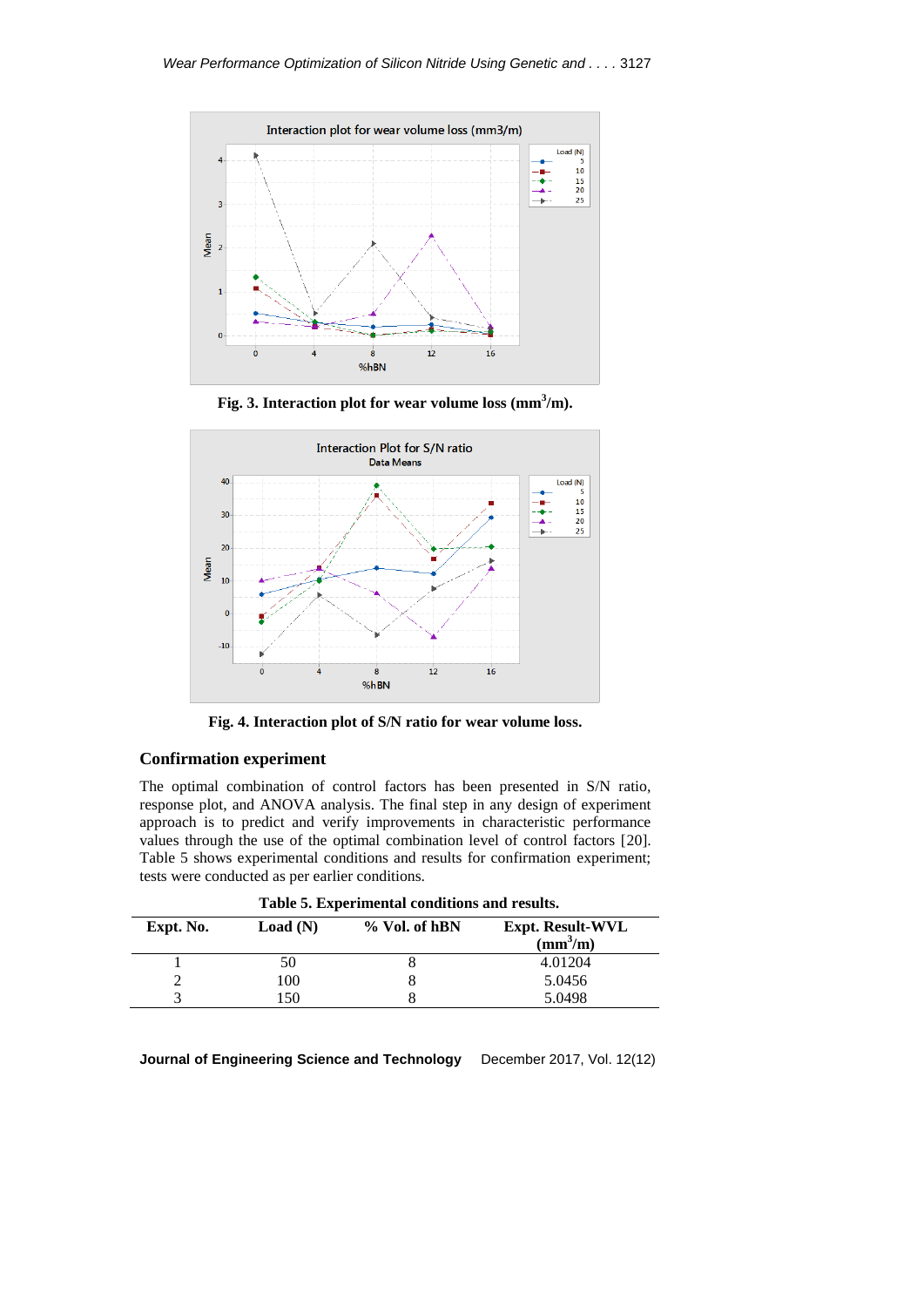

**Fig. 3. Interaction plot for wear volume loss (mm<sup>3</sup> /m).**



**Fig. 4. Interaction plot of S/N ratio for wear volume loss.**

## **Confirmation experiment**

The optimal combination of control factors has been presented in S/N ratio, response plot, and ANOVA analysis. The final step in any design of experiment approach is to predict and verify improvements in characteristic performance values through the use of the optimal combination level of control factors [20]. Table 5 shows experimental conditions and results for confirmation experiment; tests were conducted as per earlier conditions.

| Table 5. Experimental conditions and results. |         |               |                                                     |  |  |  |  |
|-----------------------------------------------|---------|---------------|-----------------------------------------------------|--|--|--|--|
| Expt. No.                                     | Load(N) | % Vol. of hBN | <b>Expt. Result-WVL</b><br>$\text{(mm}^3\text{/m)}$ |  |  |  |  |
|                                               | 50      |               | 4.01204                                             |  |  |  |  |
|                                               | 100     |               | 5.0456                                              |  |  |  |  |
|                                               | 150     |               | 5.0498                                              |  |  |  |  |
|                                               |         |               |                                                     |  |  |  |  |

**Table 5. Experimental conditions and results.**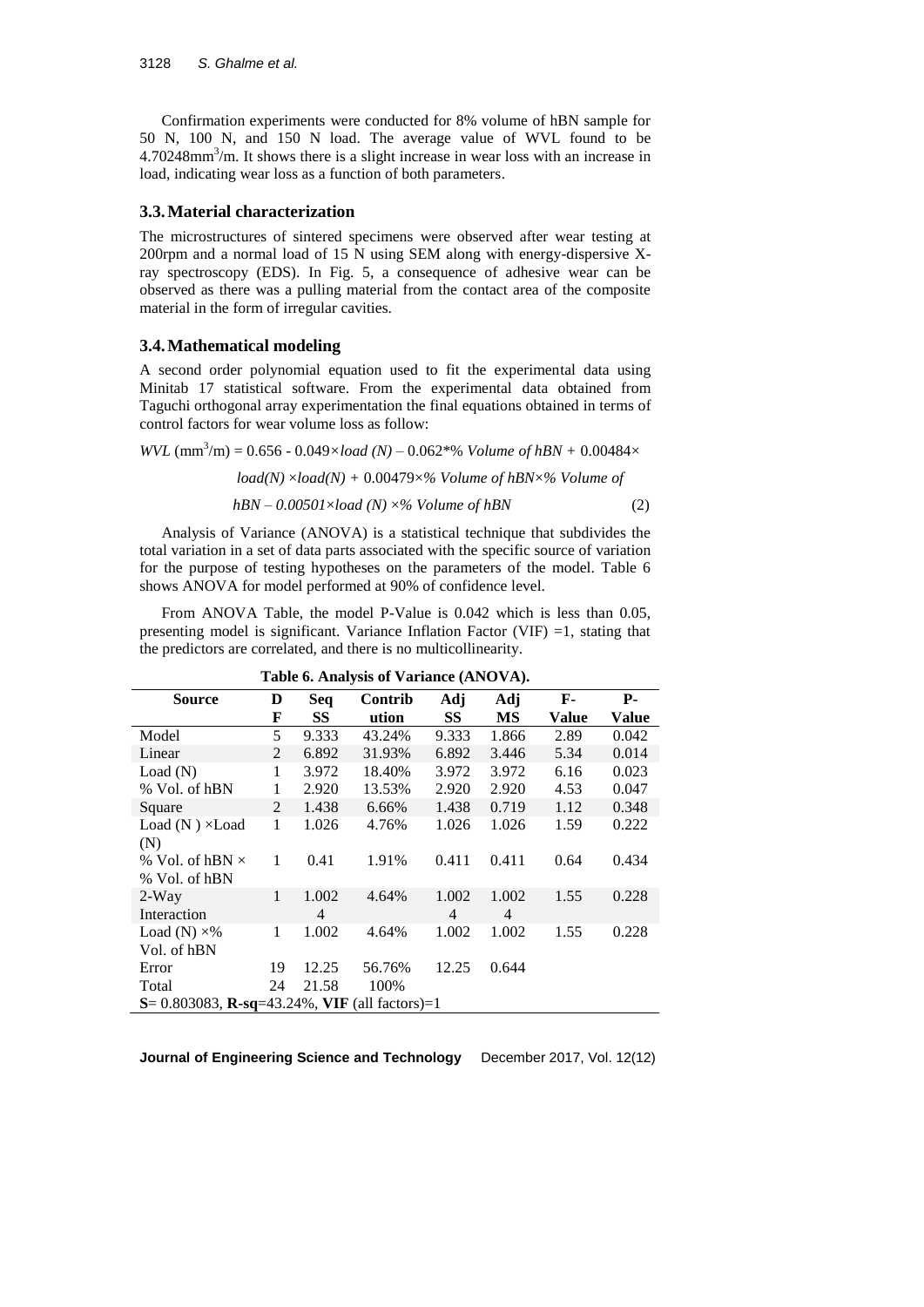Confirmation experiments were conducted for 8% volume of hBN sample for 50 N, 100 N, and 150 N load. The average value of WVL found to be  $4.70248$ mm<sup>3</sup>/m. It shows there is a slight increase in wear loss with an increase in load, indicating wear loss as a function of both parameters.

#### **3.3.Material characterization**

The microstructures of sintered specimens were observed after wear testing at 200rpm and a normal load of 15 N using SEM along with energy-dispersive Xray spectroscopy (EDS). In Fig. 5, a consequence of adhesive wear can be observed as there was a pulling material from the contact area of the composite material in the form of irregular cavities.

#### **3.4.Mathematical modeling**

A second order polynomial equation used to fit the experimental data using Minitab 17 statistical software. From the experimental data obtained from Taguchi orthogonal array experimentation the final equations obtained in terms of control factors for wear volume loss as follow:

*WVL*  $(mm^3/m) = 0.656 - 0.049 \times load (N) - 0.062*% Volume of hBN + 0.00484 \times$ 

$$
load(N) \times load(N) + 0.00479 \times \% Volume\ of\ hBN \times \% \ Volume\ of
$$

$$
hBN - 0.00501 \times load (N) \times \% Volume of hBN
$$
 (2)

Analysis of Variance (ANOVA) is a statistical technique that subdivides the total variation in a set of data parts associated with the specific source of variation for the purpose of testing hypotheses on the parameters of the model. Table 6 shows ANOVA for model performed at 90% of confidence level.

From ANOVA Table, the model P-Value is 0.042 which is less than 0.05, presenting model is significant. Variance Inflation Factor (VIF)  $=1$ , stating that the predictors are correlated, and there is no multicollinearity.

| <b>Source</b>                                             | D  | Seq            | Contrib | Adj            | Adj            | F-    | $P-$  |
|-----------------------------------------------------------|----|----------------|---------|----------------|----------------|-------|-------|
|                                                           | F  | SS             | ution   | <b>SS</b>      | MS             | Value | Value |
| Model                                                     | 5  | 9.333          | 43.24%  | 9.333          | 1.866          | 2.89  | 0.042 |
| Linear                                                    | 2  | 6.892          | 31.93%  | 6.892          | 3.446          | 5.34  | 0.014 |
| Load(N)                                                   | 1  | 3.972          | 18.40%  | 3.972          | 3.972          | 6.16  | 0.023 |
| % Vol. of hBN                                             | 1  | 2.920          | 13.53%  | 2.920          | 2.920          | 4.53  | 0.047 |
| Square                                                    | 2  | 1.438          | 6.66%   | 1.438          | 0.719          | 1.12  | 0.348 |
| Load $(N) \times$ Load                                    | 1  | 1.026          | 4.76%   | 1.026          | 1.026          | 1.59  | 0.222 |
| (N)                                                       |    |                |         |                |                |       |       |
| % Vol. of hBN $\times$                                    | 1  | 0.41           | 1.91%   | 0.411          | 0.411          | 0.64  | 0.434 |
| % Vol. of hBN                                             |    |                |         |                |                |       |       |
| $2-Way$                                                   | 1  | 1.002          | 4.64%   | 1.002          | 1.002          | 1.55  | 0.228 |
| Interaction                                               |    | $\overline{4}$ |         | $\overline{4}$ | $\overline{4}$ |       |       |
| Load (N) $\times\%$                                       | 1  | 1.002          | 4.64%   | 1.002          | 1.002          | 1.55  | 0.228 |
| Vol. of hBN                                               |    |                |         |                |                |       |       |
| Error                                                     | 19 | 12.25          | 56.76%  | 12.25          | 0.644          |       |       |
| Total                                                     | 24 | 21.58          | 100%    |                |                |       |       |
| $S = 0.803083$ , <b>R</b> -sq=43.24%, VIF (all factors)=1 |    |                |         |                |                |       |       |

**Table 6. Analysis of Variance (ANOVA).**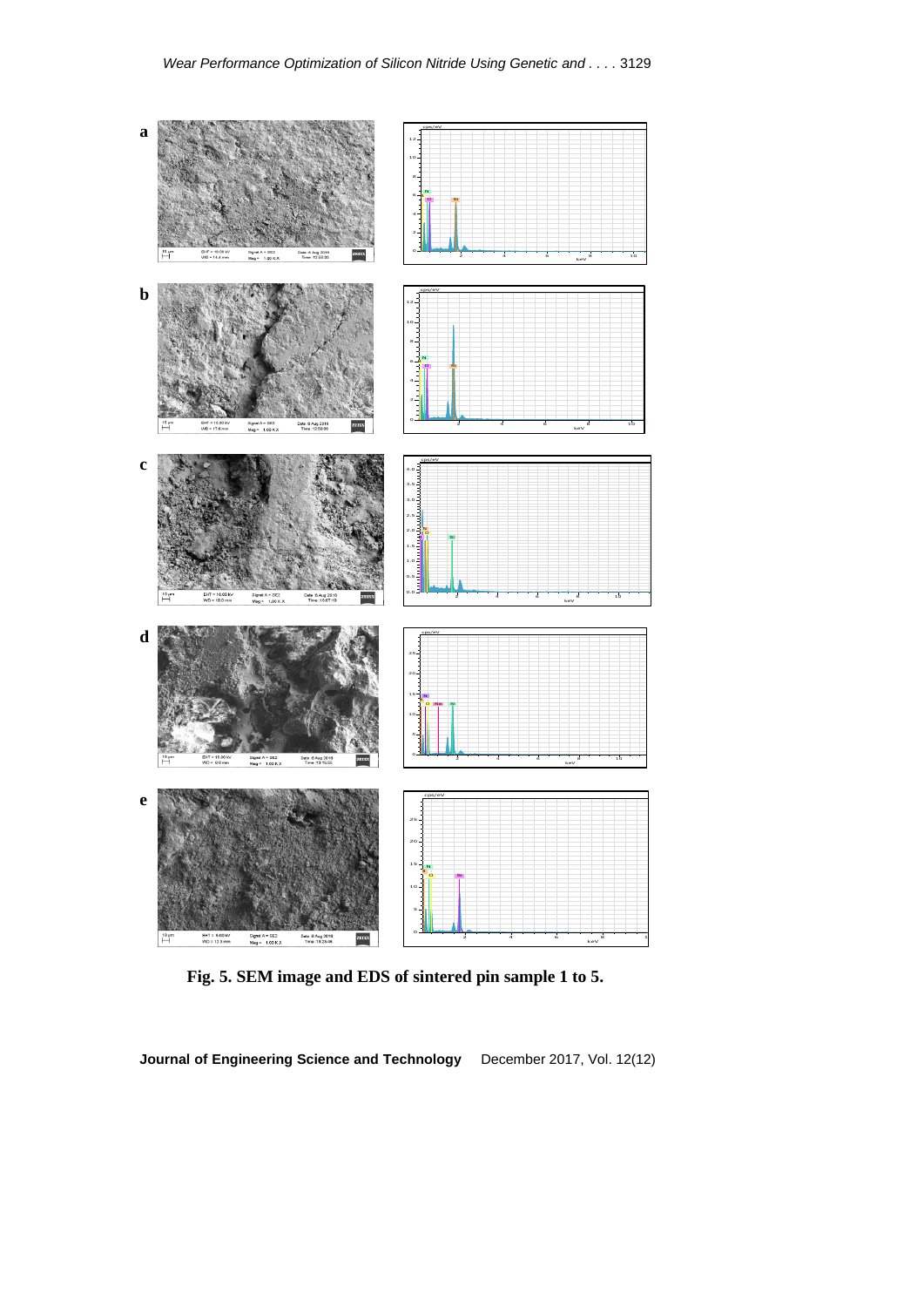

**Fig. 5. SEM image and EDS of sintered pin sample 1 to 5.**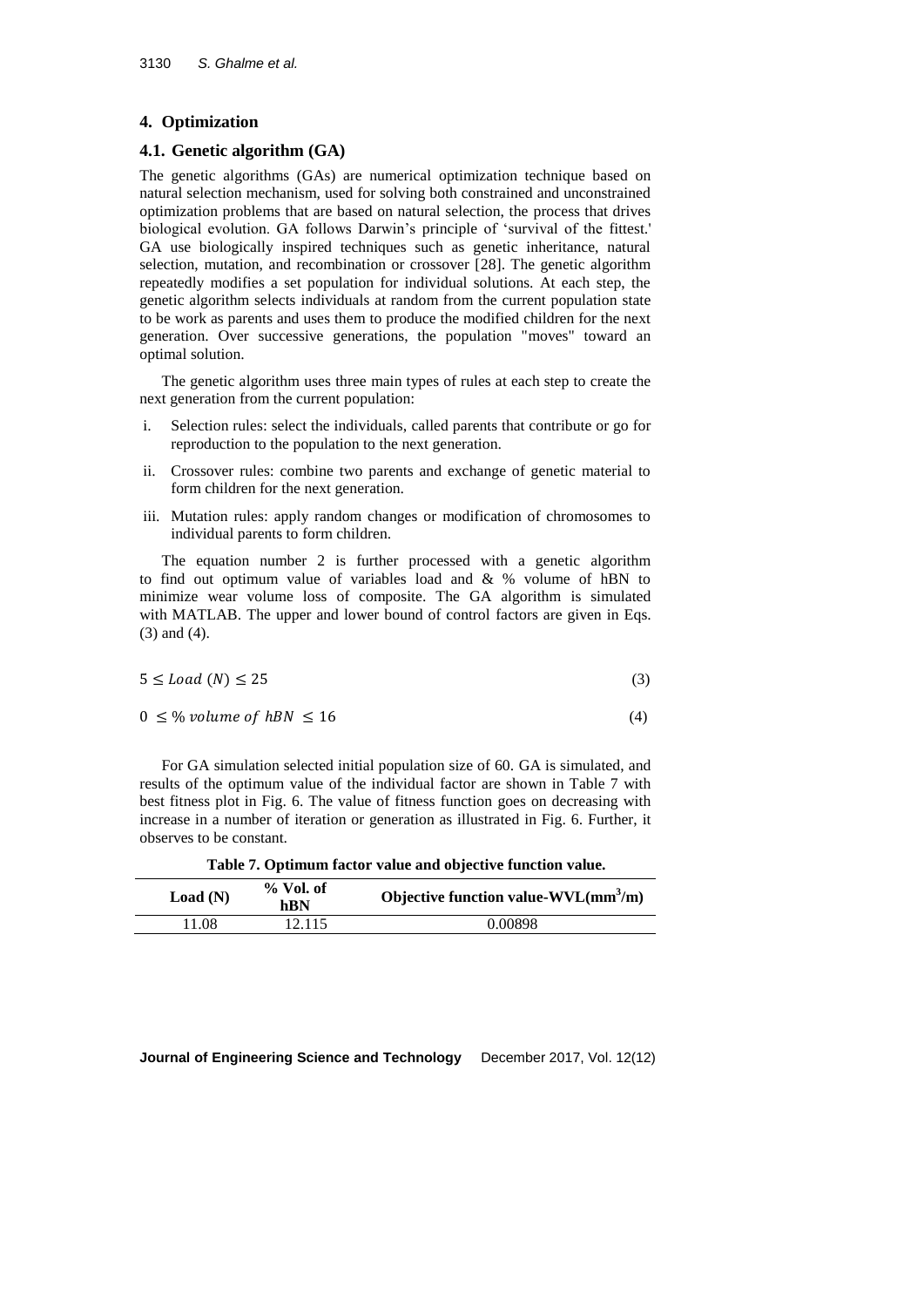## **4. Optimization**

## **4.1. Genetic algorithm (GA)**

The genetic algorithms (GAs) are numerical optimization technique based on natural selection mechanism, used for solving both constrained and unconstrained optimization problems that are based on natural selection, the process that drives biological evolution. GA follows Darwin's principle of 'survival of the fittest.' GA use biologically inspired techniques such as genetic inheritance, natural selection, mutation, and recombination or crossover [28]. The genetic algorithm repeatedly modifies a set population for individual solutions. At each step, the genetic algorithm selects individuals at random from the current population state to be work as parents and uses them to produce the modified children for the next generation. Over successive generations, the population "moves" toward an optimal solution.

The genetic algorithm uses three main types of rules at each step to create the next generation from the current population:

- i. Selection rules: select the individuals, called parents that contribute or go for reproduction to the population to the next generation.
- ii. Crossover rules: combine two parents and exchange of genetic material to form children for the next generation.
- iii. Mutation rules: apply random changes or modification of chromosomes to individual parents to form children.

The equation number 2 is further processed with a genetic algorithm to find out optimum value of variables load and & % volume of hBN to minimize wear volume loss of composite. The GA algorithm is simulated with MATLAB. The upper and lower bound of control factors are given in Eqs. (3) and (4).

$$
5 \le Load(N) \le 25 \tag{3}
$$

$$
0 \leq \% \text{ volume of hBN} \leq 16 \tag{4}
$$

For GA simulation selected initial population size of 60. GA is simulated, and results of the optimum value of the individual factor are shown in Table 7 with best fitness plot in Fig. 6. The value of fitness function goes on decreasing with increase in a number of iteration or generation as illustrated in Fig. 6. Further, it observes to be constant.

**Table 7. Optimum factor value and objective function value.**

| Load(N) | $%$ Vol. of<br>hBN | Objective function value- $WVL(mm^3/m)$ |
|---------|--------------------|-----------------------------------------|
| 11.08   | 12.115             | 0.00898                                 |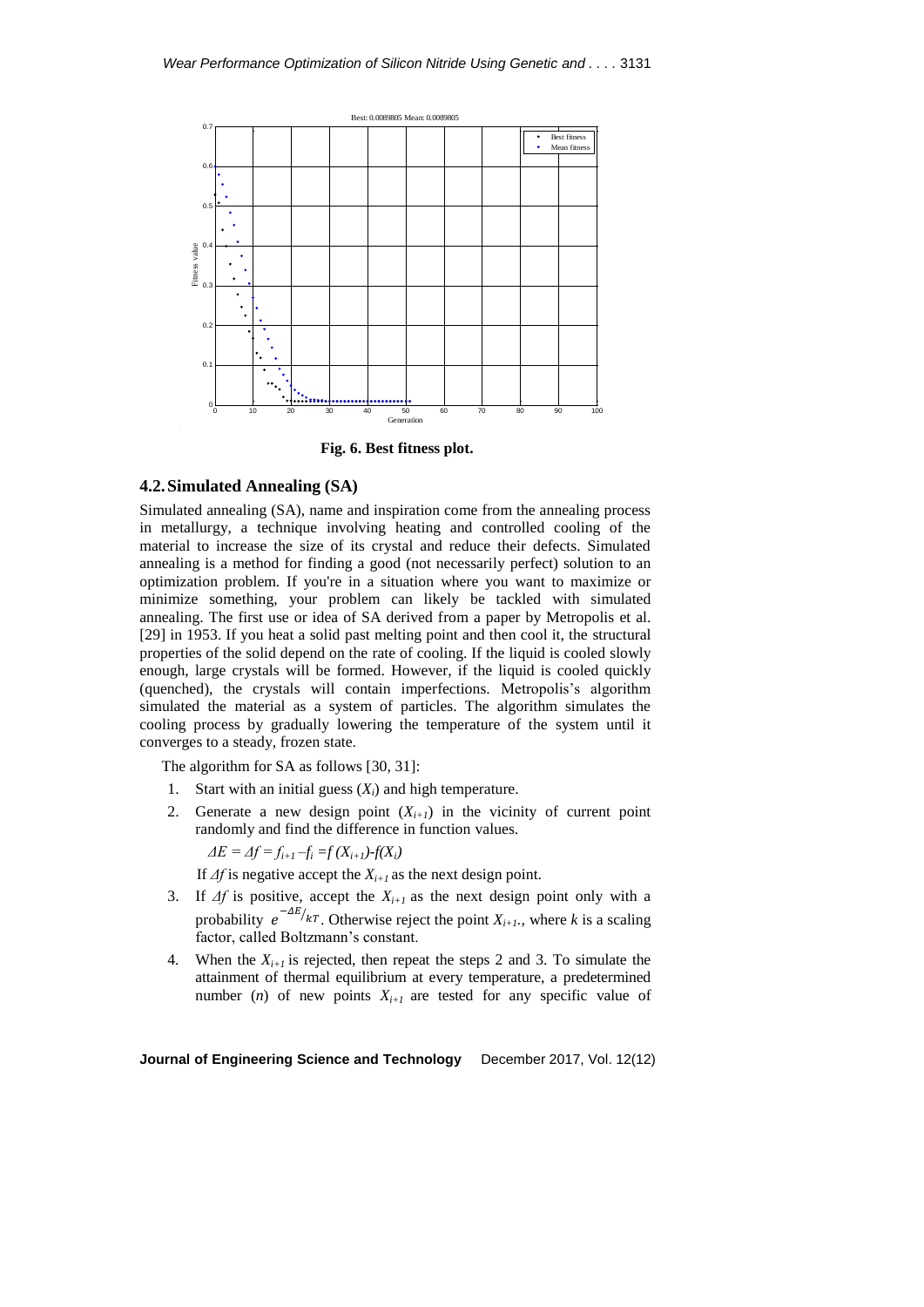

**Fig. 6. Best fitness plot.**

# **4.2.Simulated Annealing (SA)**

Simulated annealing (SA), name and inspiration come from the annealing process in metallurgy, a technique involving heating and controlled cooling of the material to increase the size of its crystal and reduce their defects. Simulated annealing is a method for finding a good (not necessarily perfect) solution to an optimization problem. If you're in a situation where you want to maximize or minimize something, your problem can likely be tackled with simulated annealing. The first use or idea of SA derived from a paper by Metropolis et al. [29] in 1953. If you heat a solid past melting point and then cool it, the structural properties of the solid depend on the rate of cooling. If the liquid is cooled slowly enough, large crystals will be formed. However, if the liquid is cooled quickly (quenched), the crystals will contain imperfections. Metropolis's algorithm simulated the material as a system of particles. The algorithm simulates the cooling process by gradually lowering the temperature of the system until it converges to a steady, frozen state.

The algorithm for SA as follows [30, 31]:

- 1. Start with an initial guess (*Xi*) and high temperature.
- 2. Generate a new design point  $(X_{i+1})$  in the vicinity of current point randomly and find the difference in function values.

 $\Delta E = \Delta f = f_{i+1} - f_i = f(X_{i+1}) - f(X_i)$ 

If *Δf* is negative accept the *Xi+1* as the next design point.

- 3. If *Δf* is positive, accept the *Xi+1* as the next design point only with a probability  $e^{-\Delta E}/kT$ . Otherwise reject the point  $X_{i+1}$ , where k is a scaling factor, called Boltzmann's constant.
- 4. When the  $X_{i+1}$  is rejected, then repeat the steps 2 and 3. To simulate the attainment of thermal equilibrium at every temperature, a predetermined number (*n*) of new points  $X_{i+1}$  are tested for any specific value of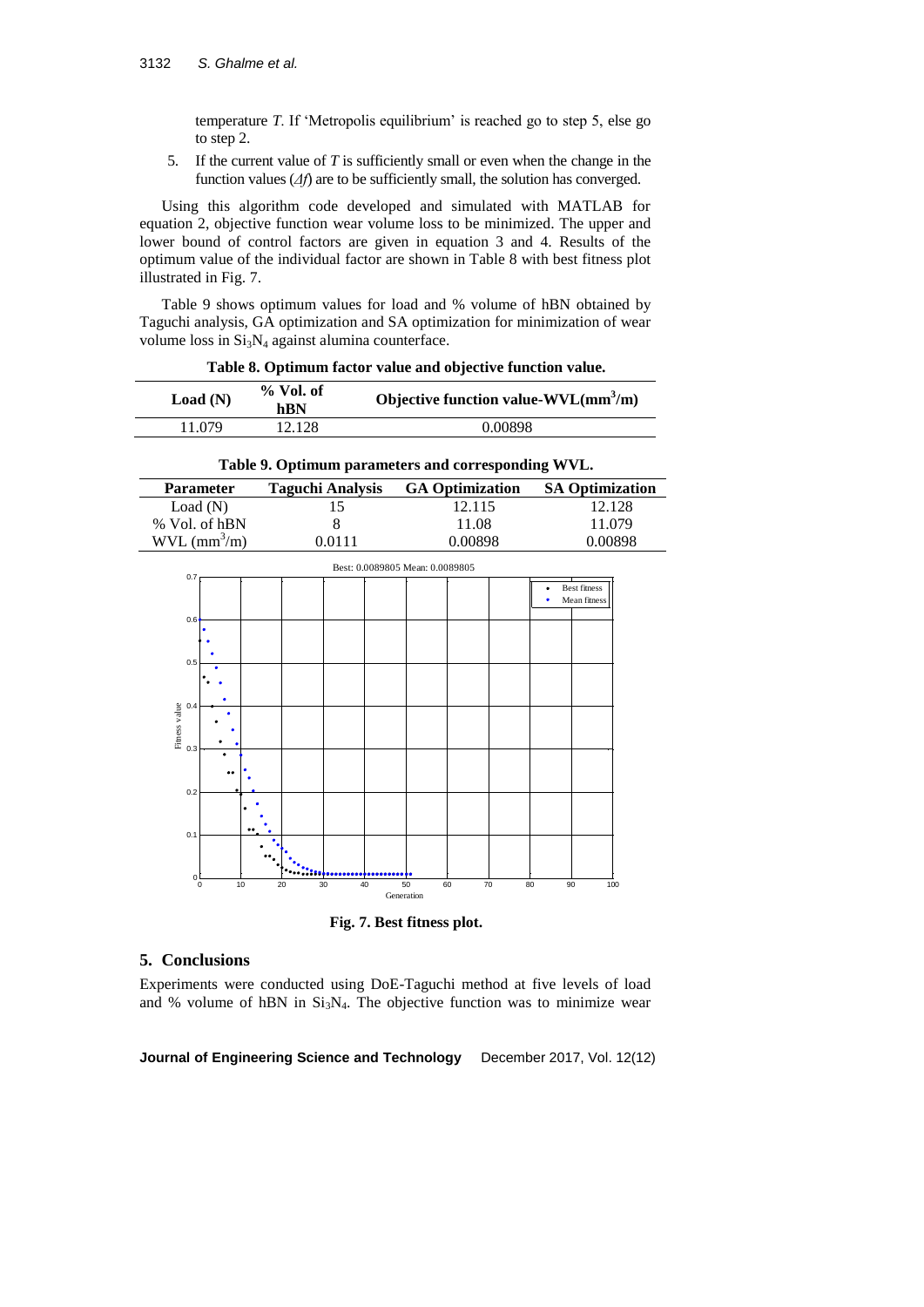temperature *T*. If 'Metropolis equilibrium' is reached go to step 5, else go to step 2.

5. If the current value of *T* is sufficiently small or even when the change in the function values ( $\Delta f$ ) are to be sufficiently small, the solution has converged.

Using this algorithm code developed and simulated with MATLAB for equation 2, objective function wear volume loss to be minimized. The upper and lower bound of control factors are given in equation 3 and 4. Results of the optimum value of the individual factor are shown in Table 8 with best fitness plot illustrated in Fig. 7.

Table 9 shows optimum values for load and % volume of hBN obtained by Taguchi analysis, GA optimization and SA optimization for minimization of wear volume loss in  $Si<sub>3</sub>N<sub>4</sub>$  against alumina counterface.

| Load(N) | $%$ Vol. of<br>hBN | Objective function value- $WVL(mm^3/m)$ |
|---------|--------------------|-----------------------------------------|
| 11.079  | 12.128             | 0.00898                                 |

**Table 8. Optimum factor value and objective function value.**

| Table 9. Optimum parameters and corresponding WVL. |                         |                        |                        |  |  |  |  |
|----------------------------------------------------|-------------------------|------------------------|------------------------|--|--|--|--|
| <b>Parameter</b>                                   | <b>Taguchi Analysis</b> | <b>GA Optimization</b> | <b>SA Optimization</b> |  |  |  |  |
| Load(N)                                            | 15                      | 12.115                 | 12.128                 |  |  |  |  |
| % Vol. of hBN                                      | 8                       | 11.08                  | 11.079                 |  |  |  |  |
| $WVL$ (mm <sup>3</sup> /m)                         | 0.0111                  | 0.00898                | 0.00898                |  |  |  |  |



**Fig. 7. Best fitness plot.**

# **5. Conclusions**

Experiments were conducted using DoE-Taguchi method at five levels of load and % volume of hBN in  $Si<sub>3</sub>N<sub>4</sub>$ . The objective function was to minimize wear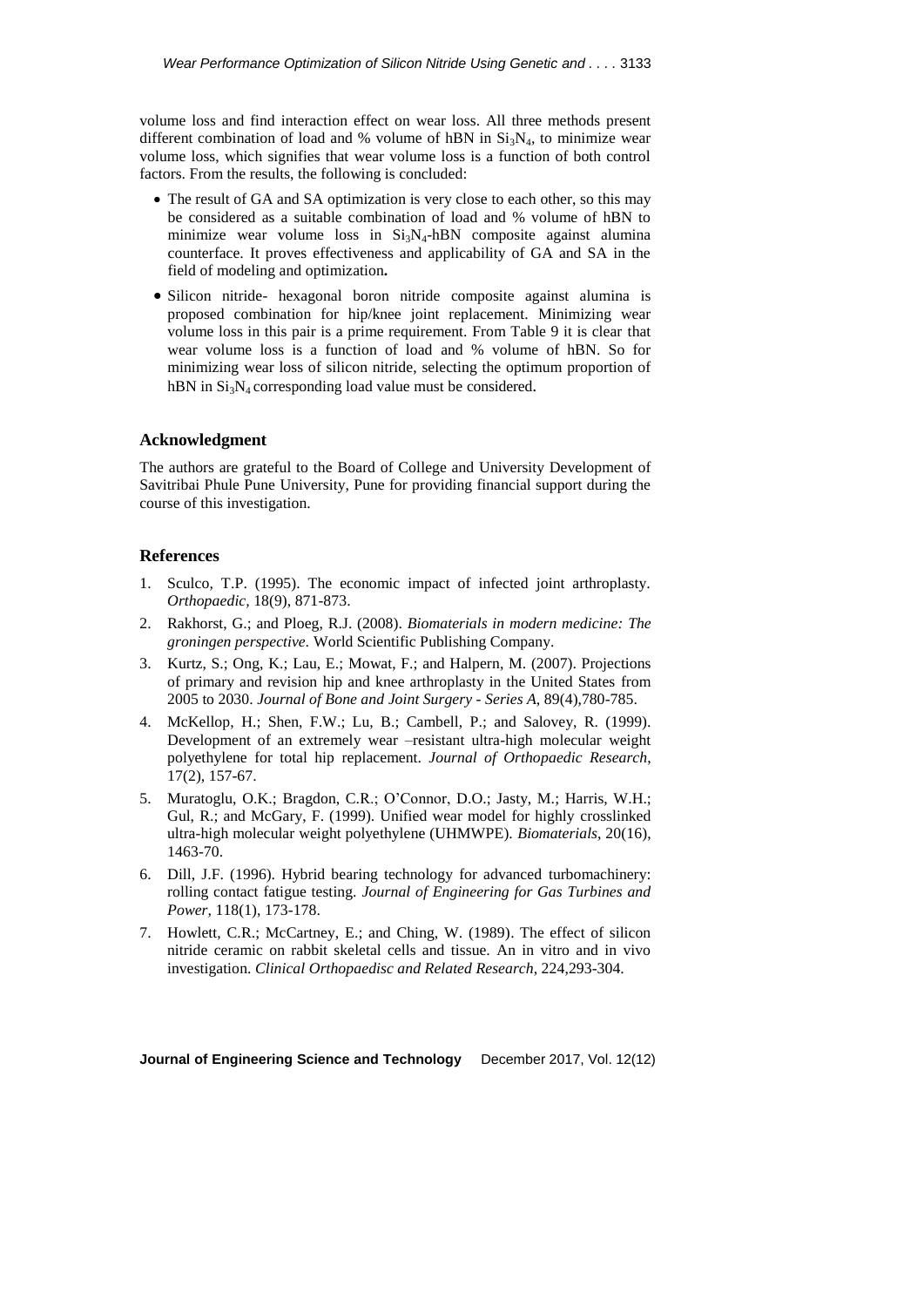volume loss and find interaction effect on wear loss. All three methods present different combination of load and % volume of hBN in  $Si<sub>3</sub>N<sub>4</sub>$ , to minimize wear volume loss, which signifies that wear volume loss is a function of both control factors. From the results, the following is concluded:

- The result of GA and SA optimization is very close to each other, so this may be considered as a suitable combination of load and % volume of hBN to minimize wear volume loss in  $Si_3N_4$ -hBN composite against alumina counterface. It proves effectiveness and applicability of GA and SA in the field of modeling and optimization**.**
- Silicon nitride- hexagonal boron nitride composite against alumina is proposed combination for hip/knee joint replacement. Minimizing wear volume loss in this pair is a prime requirement. From Table 9 it is clear that wear volume loss is a function of load and % volume of hBN. So for minimizing wear loss of silicon nitride, selecting the optimum proportion of hBN in  $Si<sub>3</sub>N<sub>4</sub>$  corresponding load value must be considered.

#### **Acknowledgment**

The authors are grateful to the Board of College and University Development of Savitribai Phule Pune University, Pune for providing financial support during the course of this investigation.

## **References**

- 1. Sculco, T.P. (1995). The economic impact of infected joint arthroplasty. *Orthopaedic,* 18(9), 871-873.
- 2. Rakhorst, G.; and Ploeg, R.J. (2008). *Biomaterials in modern medicine: The groningen perspective.* World Scientific Publishing Company.
- 3. Kurtz, S.; Ong, K.; Lau, E.; Mowat, F.; and Halpern, M. (2007). Projections of primary and revision hip and knee arthroplasty in the United States from 2005 to 2030. *Journal of Bone and Joint Surgery - Series A*, 89(4),780-785.
- 4. McKellop, H.; Shen, F.W.; Lu, B.; Cambell, P.; and Salovey, R. (1999). Development of an extremely wear –resistant ultra-high molecular weight polyethylene for total hip replacement. *Journal of Orthopaedic Research*, 17(2), 157-67.
- 5. Muratoglu, O.K.; Bragdon, C.R.; O'Connor, D.O.; Jasty, M.; Harris, W.H.; Gul, R.; and McGary, F. (1999). Unified wear model for highly crosslinked ultra-high molecular weight polyethylene (UHMWPE). *Biomaterials*, 20(16), 1463-70.
- 6. Dill, J.F. (1996). Hybrid bearing technology for advanced turbomachinery: rolling contact fatigue testing. *Journal of Engineering for Gas Turbines and Power,* 118(1), 173-178.
- 7. Howlett, C.R.; McCartney, E.; and Ching, W. (1989). The effect of silicon nitride ceramic on rabbit skeletal cells and tissue. An in vitro and in vivo investigation. *Clinical Orthopaedisc and Related Research*, 224,293-304.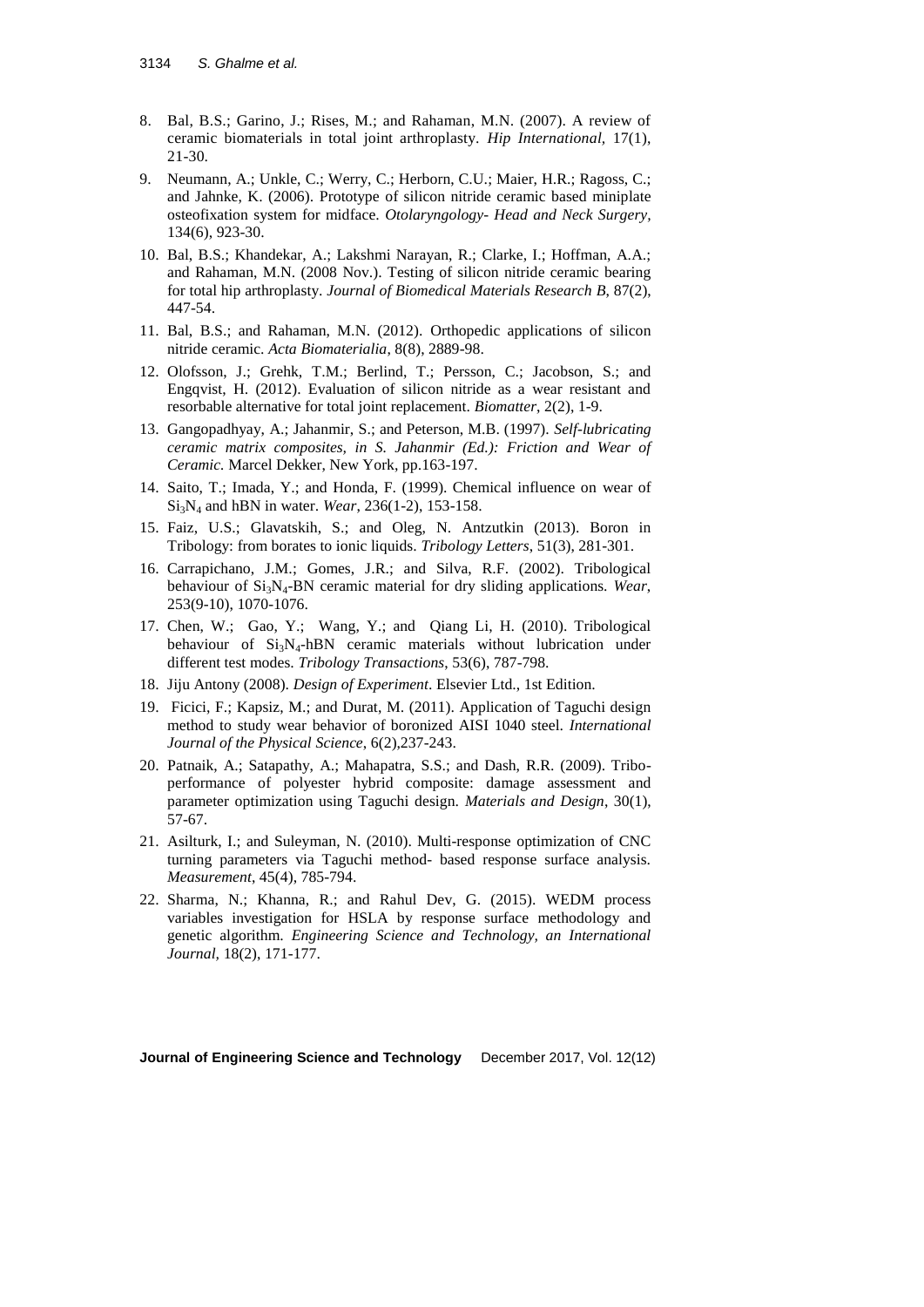- 8. Bal, B.S.; Garino, J.; Rises, M.; and Rahaman, M.N. (2007). A review of ceramic biomaterials in total joint arthroplasty. *Hip International,* 17(1), 21-30.
- 9. Neumann, A.; Unkle, C.; Werry, C.; Herborn, C.U.; Maier, H.R.; Ragoss, C.; and Jahnke, K. (2006). Prototype of silicon nitride ceramic based miniplate osteofixation system for midface. *Otolaryngology- Head and Neck Surgery,* 134(6), 923-30.
- 10. Bal, B.S.; Khandekar, A.; Lakshmi Narayan, R.; Clarke, I.; Hoffman, A.A.; and Rahaman, M.N. (2008 Nov.). Testing of silicon nitride ceramic bearing for total hip arthroplasty. *Journal of Biomedical Materials Research B*, 87(2), 447-54.
- 11. Bal, B.S.; and Rahaman, M.N. (2012). Orthopedic applications of silicon nitride ceramic. *Acta Biomaterialia*, 8(8), 2889-98.
- 12. Olofsson, J.; Grehk, T.M.; Berlind, T.; Persson, C.; Jacobson, S.; and Engqvist, H. (2012). Evaluation of silicon nitride as a wear resistant and resorbable alternative for total joint replacement. *Biomatter*, 2(2), 1-9.
- 13. Gangopadhyay, A.; Jahanmir, S.; and Peterson, M.B. (1997). *Self-lubricating ceramic matrix composites, in S. Jahanmir (Ed.): Friction and Wear of Ceramic.* Marcel Dekker, New York, pp.163-197.
- 14. Saito, T.; Imada, Y.; and Honda, F. (1999). Chemical influence on wear of Si3N<sup>4</sup> and hBN in water. *Wear*, 236(1-2), 153-158.
- 15. Faiz, U.S.; Glavatskih, S.; and Oleg, N. Antzutkin (2013). Boron in Tribology: from borates to ionic liquids. *Tribology Letters*, 51(3), 281-301.
- 16. Carrapichano, J.M.; Gomes, J.R.; and Silva, R.F. (2002). Tribological behaviour of Si3N4-BN ceramic material for dry sliding applications. *Wear*, 253(9-10), 1070-1076.
- 17. Chen, W.; Gao, Y.; Wang, Y.; and Qiang Li, H. (2010). Tribological behaviour of  $Si_3N_4$ -hBN ceramic materials without lubrication under different test modes. *Tribology Transactions*, 53(6), 787-798.
- 18. Jiju Antony (2008). *Design of Experiment*. Elsevier Ltd., 1st Edition.
- 19. Ficici, F.; Kapsiz, M.; and Durat, M. (2011). Application of Taguchi design method to study wear behavior of boronized AISI 1040 steel. *International Journal of the Physical Science*, 6(2),237-243.
- 20. Patnaik, A.; Satapathy, A.; Mahapatra, S.S.; and Dash, R.R. (2009). Triboperformance of polyester hybrid composite: damage assessment and parameter optimization using Taguchi design. *Materials and Design*, 30(1), 57-67.
- 21. Asilturk, I.; and Suleyman, N. (2010). Multi-response optimization of CNC turning parameters via Taguchi method- based response surface analysis. *Measurement*, 45(4), 785-794.
- 22. Sharma, N.; Khanna, R.; and Rahul Dev, G. (2015). WEDM process variables investigation for HSLA by response surface methodology and genetic algorithm. *Engineering Science and Technology, an International Journal,* 18(2), 171-177.